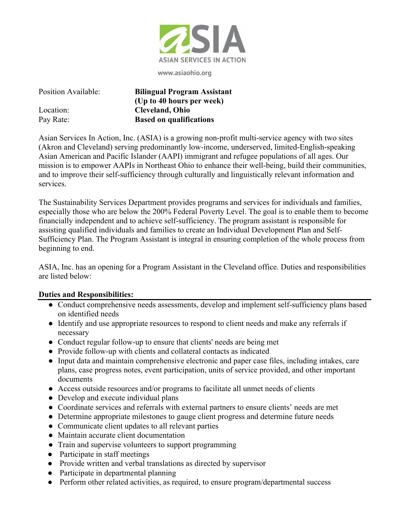

**www.asiaohio.org**

| Position Available: | <b>Bilingual Program Assistant</b> |
|---------------------|------------------------------------|
|                     | (Up to 40 hours per week)          |
| Location:           | <b>Cleveland, Ohio</b>             |
| Pay Rate:           | <b>Based on qualifications</b>     |

Asian Services In Action, Inc. (ASIA) is a growing non-profit multi-service agency with two sites (Akron and Cleveland) serving predominantly low-income, underserved, limited-English-speaking Asian American and Pacific Islander (AAPI) immigrant and refugee populations of all ages. Our mission is to empower AAPIs in Northeast Ohio to enhance their well-being, build their communities, and to improve their self-sufficiency through culturally and linguistically relevant information and services.

The Sustainability Services Department provides programs and services for individuals and families, especially those who are below the 200% Federal Poverty Level. The goal is to enable them to become financially independent and to achieve self-sufficiency. The program assistant is responsible for assisting qualified individuals and families to create an Individual Development Plan and Self-Sufficiency Plan. The Program Assistant is integral in ensuring completion of the whole process from beginning to end.

ASIA, Inc. has an opening for a Program Assistant in the Cleveland office. Duties and responsibilities are listed below:

## **Duties and Responsibilities:**

- Conduct comprehensive needs assessments, develop and implement self-sufficiency plans based on identified needs
- Identify and use appropriate resources to respond to client needs and make any referrals if necessary
- Conduct regular follow-up to ensure that clients' needs are being met
- Provide follow-up with clients and collateral contacts as indicated
- Input data and maintain comprehensive electronic and paper case files, including intakes, care plans, case progress notes, event participation, units of service provided, and other important documents
- Access outside resources and/or programs to facilitate all unmet needs of clients
- Develop and execute individual plans
- Coordinate services and referrals with external partners to ensure clients' needs are met
- Determine appropriate milestones to gauge client progress and determine future needs
- Communicate client updates to all relevant parties
- Maintain accurate client documentation
- Train and supervise volunteers to support programming
- Participate in staff meetings
- Provide written and verbal translations as directed by supervisor
- Participate in departmental planning
- Perform other related activities, as required, to ensure program/departmental success